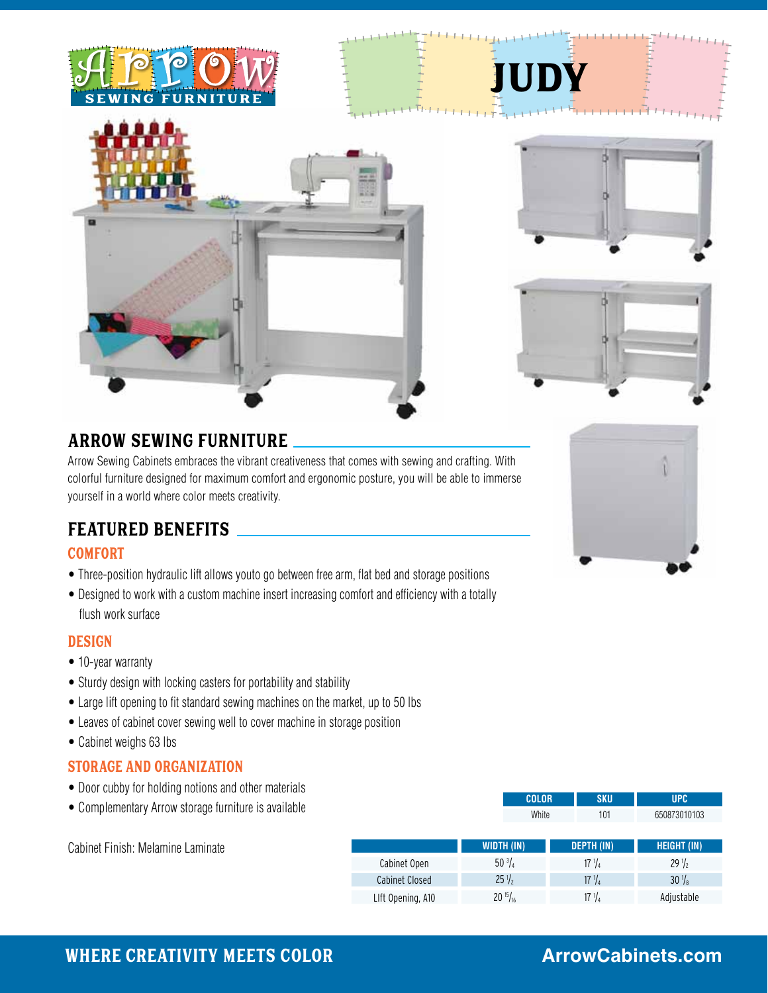





judy



## ARROW SEWING FURNITURE

Arrow Sewing Cabinets embraces the vibrant creativeness that comes with sewing and crafting. With colorful furniture designed for maximum comfort and ergonomic posture, you will be able to immerse yourself in a world where color meets creativity.

## FEATURED BENEFITS

## COMFORT

- Three-position hydraulic lift allows youto go between free arm, flat bed and storage positions
- Designed to work with a custom machine insert increasing comfort and efficiency with a totally flush work surface

## DESIGN

- 10-year warranty
- Sturdy design with locking casters for portability and stability
- Large lift opening to fit standard sewing machines on the market, up to 50 lbs
- Leaves of cabinet cover sewing well to cover machine in storage position
- Cabinet weighs 63 lbs

#### STORAGE and ORGANIZATION

Cabinet Finish: Melamine Laminate

- Door cubby for holding notions and other materials
- Complementary Arrow storage furniture is available

|                       | <b>COLOR</b>      | <b>SKU</b>        | <b>UPC</b>         |
|-----------------------|-------------------|-------------------|--------------------|
|                       | White             | 101               | 650873010103       |
|                       |                   |                   |                    |
|                       | <b>WIDTH (IN)</b> | <b>DEPTH (IN)</b> | <b>HEIGHT (IN)</b> |
| Cabinet Open          | $50\frac{3}{4}$   | $17 \frac{1}{4}$  | $29\frac{1}{2}$    |
| <b>Cabinet Closed</b> | $25\frac{1}{2}$   | $17 \frac{1}{4}$  | $30\frac{1}{8}$    |
| Llft Opening, A10     | $20^{15}/_{16}$   | $17 \frac{1}{4}$  | Adjustable         |
|                       |                   |                   |                    |



## Where Creativity Meets Color

# **ArrowCabinets.com**